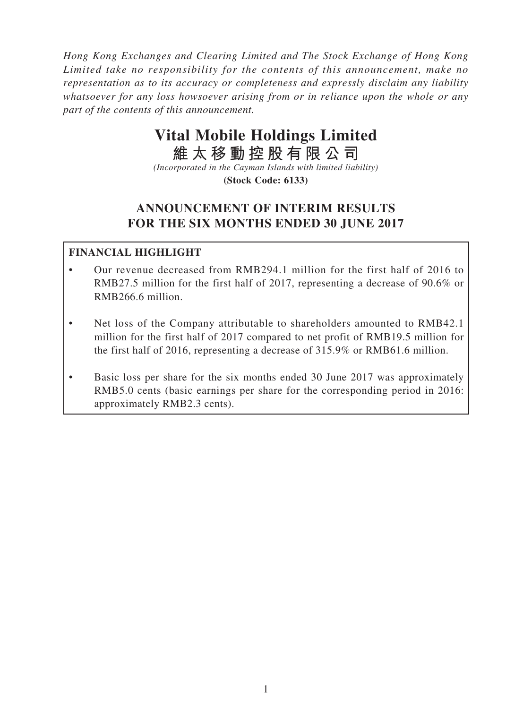*Hong Kong Exchanges and Clearing Limited and The Stock Exchange of Hong Kong Limited take no responsibility for the contents of this announcement, make no representation as to its accuracy or completeness and expressly disclaim any liability whatsoever for any loss howsoever arising from or in reliance upon the whole or any part of the contents of this announcement.*

# **Vital Mobile Holdings Limited**

**維太移動控股有限公司**

*(Incorporated in the Cayman Islands with limited liability)* **(Stock Code: 6133)**

# **ANNOUNCEMENT OF INTERIM RESULTS FOR THE SIX MONTHS ENDED 30 JUNE 2017**

# **FINANCIAL HIGHLIGHT**

- Our revenue decreased from RMB294.1 million for the first half of 2016 to RMB27.5 million for the first half of 2017, representing a decrease of 90.6% or RMB266.6 million.
- Net loss of the Company attributable to shareholders amounted to RMB42.1 million for the first half of 2017 compared to net profit of RMB19.5 million for the first half of 2016, representing a decrease of 315.9% or RMB61.6 million.
- Basic loss per share for the six months ended 30 June 2017 was approximately RMB5.0 cents (basic earnings per share for the corresponding period in 2016: approximately RMB2.3 cents).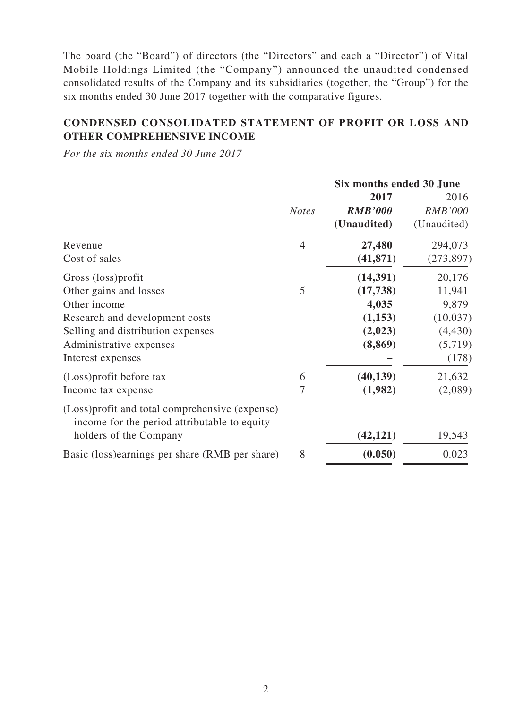The board (the "Board") of directors (the "Directors" and each a "Director") of Vital Mobile Holdings Limited (the "Company") announced the unaudited condensed consolidated results of the Company and its subsidiaries (together, the "Group") for the six months ended 30 June 2017 together with the comparative figures.

# **CONDENSED CONSOLIDATED STATEMENT OF PROFIT OR LOSS AND OTHER COMPREHENSIVE INCOME**

*For the six months ended 30 June 2017*

|                                                                                                 |              | Six months ended 30 June |                |
|-------------------------------------------------------------------------------------------------|--------------|--------------------------|----------------|
|                                                                                                 |              | 2017                     | 2016           |
|                                                                                                 | <b>Notes</b> | <b>RMB'000</b>           | <b>RMB'000</b> |
|                                                                                                 |              | (Unaudited)              | (Unaudited)    |
| Revenue                                                                                         | 4            | 27,480                   | 294,073        |
| Cost of sales                                                                                   |              | (41, 871)                | (273, 897)     |
| Gross (loss) profit                                                                             |              | (14, 391)                | 20,176         |
| Other gains and losses                                                                          | 5            | (17, 738)                | 11,941         |
| Other income                                                                                    |              | 4,035                    | 9,879          |
| Research and development costs                                                                  |              | (1,153)                  | (10,037)       |
| Selling and distribution expenses                                                               |              | (2,023)                  | (4, 430)       |
| Administrative expenses                                                                         |              | (8, 869)                 | (5,719)        |
| Interest expenses                                                                               |              |                          | (178)          |
| (Loss) profit before tax                                                                        | 6            | (40, 139)                | 21,632         |
| Income tax expense                                                                              | 7            | (1,982)                  | (2,089)        |
| (Loss) profit and total comprehensive (expense)<br>income for the period attributable to equity |              |                          |                |
| holders of the Company                                                                          |              | (42, 121)                | 19,543         |
| Basic (loss) earnings per share (RMB per share)                                                 | 8            | (0.050)                  | 0.023          |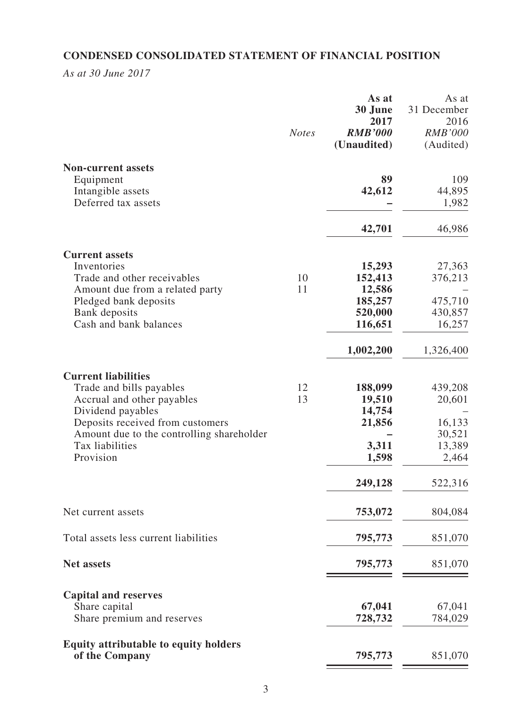# **CONDENSED CONSOLIDATED STATEMENT OF FINANCIAL POSITION**

*As at 30 June 2017*

|                                                              | <b>Notes</b> | As at<br>30 June<br>2017<br><b>RMB'000</b><br>(Unaudited) | As at<br>31 December<br>2016<br><b>RMB'000</b><br>(Audited) |
|--------------------------------------------------------------|--------------|-----------------------------------------------------------|-------------------------------------------------------------|
| <b>Non-current assets</b>                                    |              | 89                                                        | 109                                                         |
| Equipment<br>Intangible assets                               |              | 42,612                                                    | 44,895                                                      |
| Deferred tax assets                                          |              |                                                           | 1,982                                                       |
|                                                              |              | 42,701                                                    | 46,986                                                      |
| <b>Current assets</b>                                        |              |                                                           |                                                             |
| Inventories                                                  |              | 15,293                                                    | 27,363                                                      |
| Trade and other receivables                                  | 10           | 152,413                                                   | 376,213                                                     |
| Amount due from a related party                              | 11           | 12,586                                                    |                                                             |
| Pledged bank deposits                                        |              | 185,257                                                   | 475,710                                                     |
| Bank deposits<br>Cash and bank balances                      |              | 520,000<br>116,651                                        | 430,857<br>16,257                                           |
|                                                              |              | 1,002,200                                                 | 1,326,400                                                   |
| <b>Current liabilities</b>                                   |              |                                                           |                                                             |
| Trade and bills payables                                     | 12           | 188,099                                                   | 439,208                                                     |
| Accrual and other payables                                   | 13           | 19,510                                                    | 20,601                                                      |
| Dividend payables                                            |              | 14,754                                                    |                                                             |
| Deposits received from customers                             |              | 21,856                                                    | 16,133                                                      |
| Amount due to the controlling shareholder<br>Tax liabilities |              | 3,311                                                     | 30,521<br>13,389                                            |
| Provision                                                    |              | 1,598                                                     | 2,464                                                       |
|                                                              |              | 249,128                                                   | 522,316                                                     |
| Net current assets                                           |              | 753,072                                                   | 804,084                                                     |
| Total assets less current liabilities                        |              | 795,773                                                   | 851,070                                                     |
| <b>Net assets</b>                                            |              | 795,773                                                   | 851,070                                                     |
| <b>Capital and reserves</b>                                  |              |                                                           |                                                             |
| Share capital                                                |              | 67,041                                                    | 67,041                                                      |
| Share premium and reserves                                   |              | 728,732                                                   | 784,029                                                     |
| <b>Equity attributable to equity holders</b>                 |              |                                                           |                                                             |
| of the Company                                               |              | 795,773                                                   | 851,070                                                     |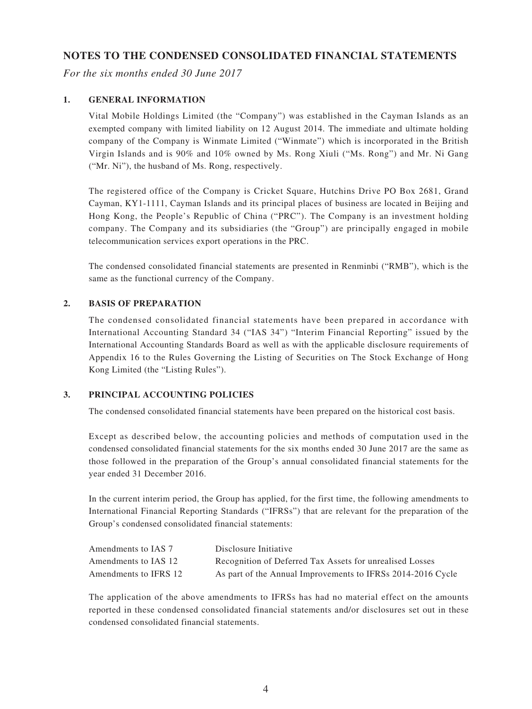### **NOTES TO THE CONDENSED CONSOLIDATED FINANCIAL STATEMENTS**

*For the six months ended 30 June 2017*

#### **1. GENERAL INFORMATION**

Vital Mobile Holdings Limited (the "Company") was established in the Cayman Islands as an exempted company with limited liability on 12 August 2014. The immediate and ultimate holding company of the Company is Winmate Limited ("Winmate") which is incorporated in the British Virgin Islands and is 90% and 10% owned by Ms. Rong Xiuli ("Ms. Rong") and Mr. Ni Gang ("Mr. Ni"), the husband of Ms. Rong, respectively.

The registered office of the Company is Cricket Square, Hutchins Drive PO Box 2681, Grand Cayman, KY1-1111, Cayman Islands and its principal places of business are located in Beijing and Hong Kong, the People's Republic of China ("PRC"). The Company is an investment holding company. The Company and its subsidiaries (the "Group") are principally engaged in mobile telecommunication services export operations in the PRC.

The condensed consolidated financial statements are presented in Renminbi ("RMB"), which is the same as the functional currency of the Company.

#### **2. BASIS OF PREPARATION**

The condensed consolidated financial statements have been prepared in accordance with International Accounting Standard 34 ("IAS 34") "Interim Financial Reporting" issued by the International Accounting Standards Board as well as with the applicable disclosure requirements of Appendix 16 to the Rules Governing the Listing of Securities on The Stock Exchange of Hong Kong Limited (the "Listing Rules").

#### **3. PRINCIPAL ACCOUNTING POLICIES**

The condensed consolidated financial statements have been prepared on the historical cost basis.

Except as described below, the accounting policies and methods of computation used in the condensed consolidated financial statements for the six months ended 30 June 2017 are the same as those followed in the preparation of the Group's annual consolidated financial statements for the year ended 31 December 2016.

In the current interim period, the Group has applied, for the first time, the following amendments to International Financial Reporting Standards ("IFRSs") that are relevant for the preparation of the Group's condensed consolidated financial statements:

| Amendments to IAS 7   | Disclosure Initiative                                       |
|-----------------------|-------------------------------------------------------------|
| Amendments to IAS 12  | Recognition of Deferred Tax Assets for unrealised Losses    |
| Amendments to IFRS 12 | As part of the Annual Improvements to IFRSs 2014-2016 Cycle |

The application of the above amendments to IFRSs has had no material effect on the amounts reported in these condensed consolidated financial statements and/or disclosures set out in these condensed consolidated financial statements.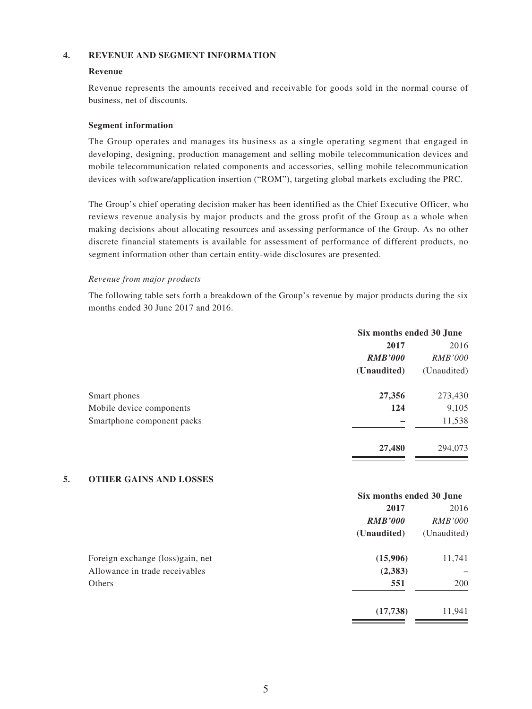#### **4. REVENUE AND SEGMENT INFORMATION**

#### **Revenue**

Revenue represents the amounts received and receivable for goods sold in the normal course of business, net of discounts.

#### **Segment information**

The Group operates and manages its business as a single operating segment that engaged in developing, designing, production management and selling mobile telecommunication devices and mobile telecommunication related components and accessories, selling mobile telecommunication devices with software/application insertion ("ROM"), targeting global markets excluding the PRC.

The Group's chief operating decision maker has been identified as the Chief Executive Officer, who reviews revenue analysis by major products and the gross profit of the Group as a whole when making decisions about allocating resources and assessing performance of the Group. As no other discrete financial statements is available for assessment of performance of different products, no segment information other than certain entity-wide disclosures are presented.

#### *Revenue from major products*

The following table sets forth a breakdown of the Group's revenue by major products during the six months ended 30 June 2017 and 2016.

|                            | Six months ended 30 June |                |
|----------------------------|--------------------------|----------------|
|                            | 2017                     | 2016           |
|                            | <b>RMB'000</b>           | <i>RMB'000</i> |
|                            | (Unaudited)              | (Unaudited)    |
| Smart phones               | 27,356                   | 273,430        |
| Mobile device components   | 124                      | 9,105          |
| Smartphone component packs |                          | 11,538         |
|                            | 27,480                   | 294,073        |

#### **5. OTHER GAINS AND LOSSES**

|                                   | Six months ended 30 June |                |
|-----------------------------------|--------------------------|----------------|
|                                   | 2017                     | 2016           |
|                                   | <b>RMB'000</b>           | <i>RMB'000</i> |
|                                   | (Unaudited)              | (Unaudited)    |
| Foreign exchange (loss) gain, net | (15,906)                 | 11,741         |
| Allowance in trade receivables    | (2,383)                  |                |
| Others                            | 551                      | 200            |
|                                   | (17,738)                 | 11,941         |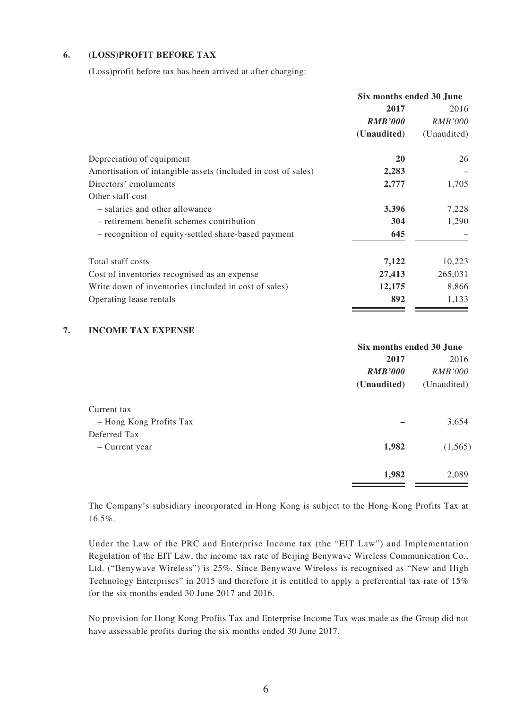#### **6. (LOSS)PROFIT BEFORE TAX**

(Loss)profit before tax has been arrived at after charging:

|                                                               | Six months ended 30 June |                |
|---------------------------------------------------------------|--------------------------|----------------|
|                                                               | 2017                     | 2016           |
|                                                               | <b>RMB'000</b>           | <i>RMB'000</i> |
|                                                               | (Unaudited)              | (Unaudited)    |
| Depreciation of equipment                                     | <b>20</b>                | 26             |
| Amortisation of intangible assets (included in cost of sales) | 2,283                    |                |
| Directors' emoluments                                         | 2,777                    | 1,705          |
| Other staff cost                                              |                          |                |
| - salaries and other allowance                                | 3,396                    | 7,228          |
| - retirement benefit schemes contribution                     | 304                      | 1,290          |
| - recognition of equity-settled share-based payment           | 645                      |                |
| Total staff costs                                             | 7,122                    | 10,223         |
| Cost of inventories recognised as an expense                  | 27,413                   | 265,031        |
| Write down of inventories (included in cost of sales)         | 12,175                   | 8,866          |
| Operating lease rentals                                       | 892                      | 1,133          |

#### **7. INCOME TAX EXPENSE**

|                         | Six months ended 30 June |                |
|-------------------------|--------------------------|----------------|
|                         | 2017                     | 2016           |
|                         | <b>RMB'000</b>           | <i>RMB'000</i> |
|                         | (Unaudited)              | (Unaudited)    |
| Current tax             |                          |                |
| - Hong Kong Profits Tax |                          | 3,654          |
| Deferred Tax            |                          |                |
| – Current year          | 1,982                    | (1,565)        |
|                         | 1,982                    | 2,089          |

The Company's subsidiary incorporated in Hong Kong is subject to the Hong Kong Profits Tax at 16.5%.

Under the Law of the PRC and Enterprise Income tax (the "EIT Law") and Implementation Regulation of the EIT Law, the income tax rate of Beijing Benywave Wireless Communication Co., Ltd. ("Benywave Wireless") is 25%. Since Benywave Wireless is recognised as "New and High Technology Enterprises" in 2015 and therefore it is entitled to apply a preferential tax rate of 15% for the six months ended 30 June 2017 and 2016.

No provision for Hong Kong Profits Tax and Enterprise Income Tax was made as the Group did not have assessable profits during the six months ended 30 June 2017.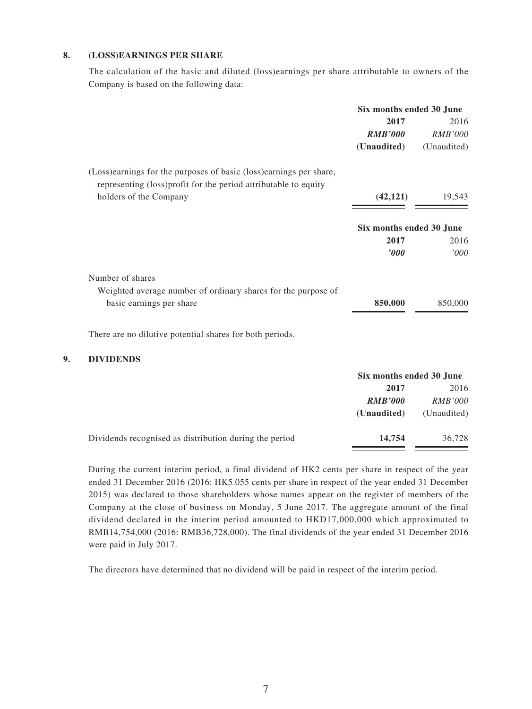#### **8. (LOSS)EARNINGS PER SHARE**

The calculation of the basic and diluted (loss)earnings per share attributable to owners of the Company is based on the following data:

|    |                                                                                                                                         | Six months ended 30 June |                   |
|----|-----------------------------------------------------------------------------------------------------------------------------------------|--------------------------|-------------------|
|    |                                                                                                                                         | 2017                     | 2016              |
|    |                                                                                                                                         | <b>RMB'000</b>           | <b>RMB'000</b>    |
|    |                                                                                                                                         | (Unaudited)              | (Unaudited)       |
|    | (Loss) earnings for the purposes of basic (loss) earnings per share,<br>representing (loss)profit for the period attributable to equity |                          |                   |
|    | holders of the Company                                                                                                                  | (42, 121)                | 19,543            |
|    |                                                                                                                                         |                          |                   |
|    |                                                                                                                                         | Six months ended 30 June |                   |
|    |                                                                                                                                         | 2017                     | 2016              |
|    |                                                                                                                                         | $\bm{v}$                 | '000              |
|    | Number of shares                                                                                                                        |                          |                   |
|    | Weighted average number of ordinary shares for the purpose of                                                                           |                          |                   |
|    | basic earnings per share                                                                                                                | 850,000                  | 850,000           |
|    |                                                                                                                                         |                          |                   |
|    | There are no dilutive potential shares for both periods.                                                                                |                          |                   |
| 9. | <b>DIVIDENDS</b>                                                                                                                        |                          |                   |
|    |                                                                                                                                         | Six months ended 30 June |                   |
|    |                                                                                                                                         | $2017$                   | 0.01 <sup>2</sup> |

|                                                        | 2017           | 2016           |
|--------------------------------------------------------|----------------|----------------|
|                                                        | <b>RMB'000</b> | <i>RMB'000</i> |
|                                                        | (Unaudited)    | (Unaudited)    |
| Dividends recognised as distribution during the period | 14,754         | 36,728         |

During the current interim period, a final dividend of HK2 cents per share in respect of the year ended 31 December 2016 (2016: HK5.055 cents per share in respect of the year ended 31 December 2015) was declared to those shareholders whose names appear on the register of members of the Company at the close of business on Monday, 5 June 2017. The aggregate amount of the final dividend declared in the interim period amounted to HKD17,000,000 which approximated to RMB14,754,000 (2016: RMB36,728,000). The final dividends of the year ended 31 December 2016 were paid in July 2017.

The directors have determined that no dividend will be paid in respect of the interim period.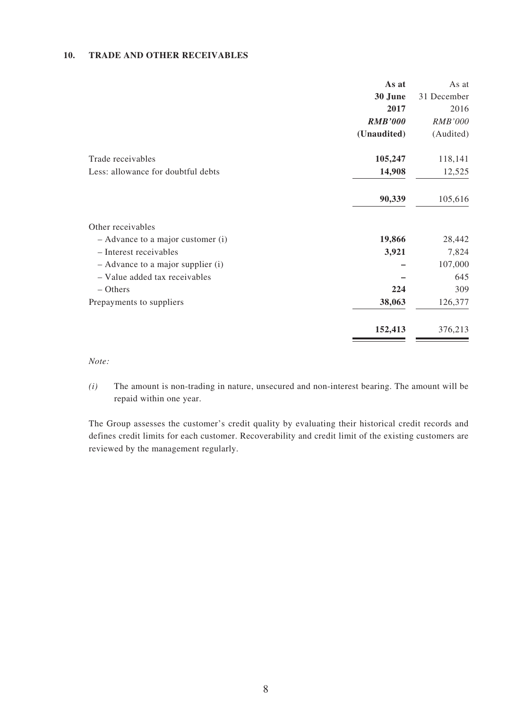#### **10. TRADE AND OTHER RECEIVABLES**

|                                    | As at          | As at       |
|------------------------------------|----------------|-------------|
|                                    | 30 June        | 31 December |
|                                    | 2017           | 2016        |
|                                    | <b>RMB'000</b> | RMB'000     |
|                                    | (Unaudited)    | (Audited)   |
| Trade receivables                  | 105,247        | 118,141     |
| Less: allowance for doubtful debts | 14,908         | 12,525      |
|                                    | 90,339         | 105,616     |
| Other receivables                  |                |             |
| - Advance to a major customer (i)  | 19,866         | 28,442      |
| - Interest receivables             | 3,921          | 7,824       |
| - Advance to a major supplier (i)  |                | 107,000     |
| - Value added tax receivables      |                | 645         |
| $-$ Others                         | 224            | 309         |
| Prepayments to suppliers           | 38,063         | 126,377     |
|                                    | 152,413        | 376,213     |
|                                    |                |             |

*Note:*

*(i)* The amount is non-trading in nature, unsecured and non-interest bearing. The amount will be repaid within one year.

The Group assesses the customer's credit quality by evaluating their historical credit records and defines credit limits for each customer. Recoverability and credit limit of the existing customers are reviewed by the management regularly.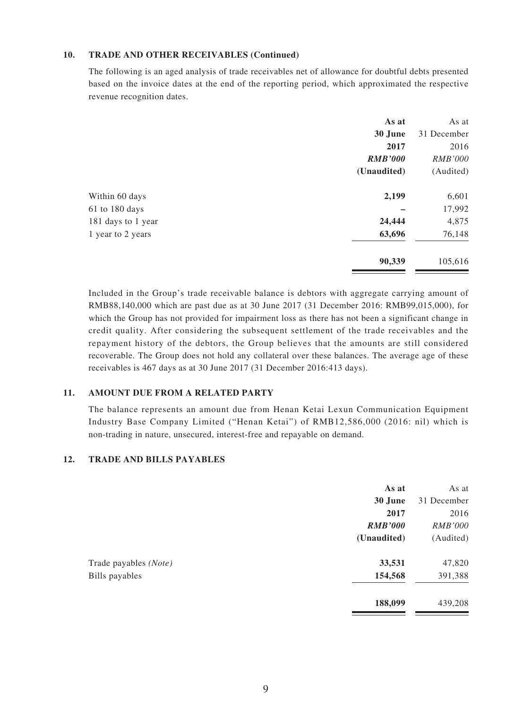#### **10. TRADE AND OTHER RECEIVABLES (Continued)**

The following is an aged analysis of trade receivables net of allowance for doubtful debts presented based on the invoice dates at the end of the reporting period, which approximated the respective revenue recognition dates.

| As at          | As at          |
|----------------|----------------|
| 30 June        | 31 December    |
| 2017           | 2016           |
| <b>RMB'000</b> | <b>RMB'000</b> |
| (Unaudited)    | (Audited)      |
| 2,199          | 6,601          |
|                | 17,992         |
| 24,444         | 4,875          |
| 63,696         | 76,148         |
| 90,339         | 105,616        |
|                |                |

Included in the Group's trade receivable balance is debtors with aggregate carrying amount of RMB88,140,000 which are past due as at 30 June 2017 (31 December 2016: RMB99,015,000), for which the Group has not provided for impairment loss as there has not been a significant change in credit quality. After considering the subsequent settlement of the trade receivables and the repayment history of the debtors, the Group believes that the amounts are still considered recoverable. The Group does not hold any collateral over these balances. The average age of these receivables is 467 days as at 30 June 2017 (31 December 2016:413 days).

#### **11. AMOUNT DUE FROM A RELATED PARTY**

The balance represents an amount due from Henan Ketai Lexun Communication Equipment Industry Base Company Limited ("Henan Ketai") of RMB12,586,000 (2016: nil) which is non-trading in nature, unsecured, interest-free and repayable on demand.

#### **12. TRADE AND BILLS PAYABLES**

|                       | As at          | As at          |
|-----------------------|----------------|----------------|
|                       | 30 June        | 31 December    |
|                       | 2017           | 2016           |
|                       | <b>RMB'000</b> | <b>RMB'000</b> |
|                       | (Unaudited)    | (Audited)      |
| Trade payables (Note) | 33,531         | 47,820         |
| Bills payables        | 154,568        | 391,388        |
|                       | 188,099        | 439,208        |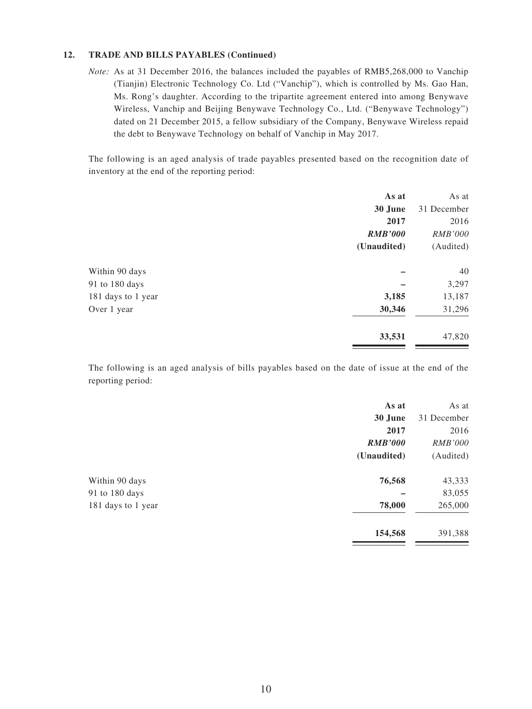#### **12. TRADE AND BILLS PAYABLES (Continued)**

*Note:* As at 31 December 2016, the balances included the payables of RMB5,268,000 to Vanchip (Tianjin) Electronic Technology Co. Ltd ("Vanchip"), which is controlled by Ms. Gao Han, Ms. Rong's daughter. According to the tripartite agreement entered into among Benywave Wireless, Vanchip and Beijing Benywave Technology Co., Ltd. ("Benywave Technology") dated on 21 December 2015, a fellow subsidiary of the Company, Benywave Wireless repaid the debt to Benywave Technology on behalf of Vanchip in May 2017.

The following is an aged analysis of trade payables presented based on the recognition date of inventory at the end of the reporting period:

|                    | As at          | As at          |
|--------------------|----------------|----------------|
|                    | 30 June        | 31 December    |
|                    | 2017           | 2016           |
|                    | <b>RMB'000</b> | <b>RMB'000</b> |
|                    | (Unaudited)    | (Audited)      |
| Within 90 days     |                | 40             |
| 91 to 180 days     |                | 3,297          |
| 181 days to 1 year | 3,185          | 13,187         |
| Over 1 year        | 30,346         | 31,296         |
|                    | 33,531         | 47,820         |
|                    |                |                |

The following is an aged analysis of bills payables based on the date of issue at the end of the reporting period:

|                    | As at          | As at          |
|--------------------|----------------|----------------|
|                    | 30 June        | 31 December    |
|                    | 2017           | 2016           |
|                    | <b>RMB'000</b> | <i>RMB'000</i> |
|                    | (Unaudited)    | (Audited)      |
| Within 90 days     | 76,568         | 43,333         |
| 91 to 180 days     |                | 83,055         |
| 181 days to 1 year | 78,000         | 265,000        |
|                    | 154,568        | 391,388        |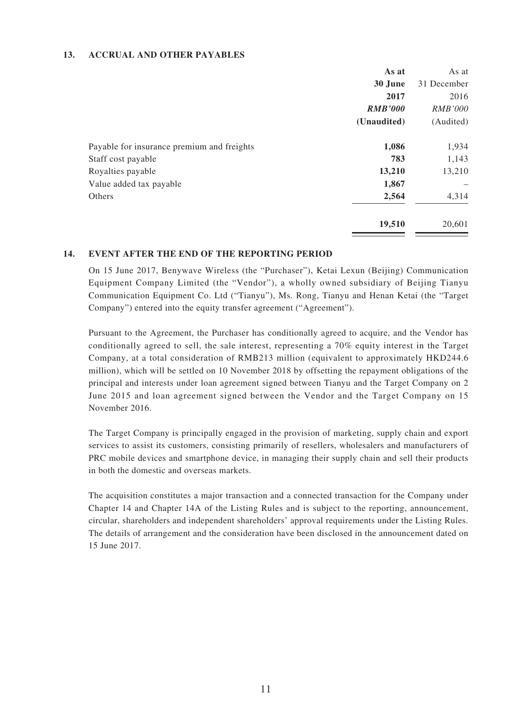#### **13. ACCRUAL AND OTHER PAYABLES**

|                                            | As at          | As at          |
|--------------------------------------------|----------------|----------------|
|                                            | 30 June        | 31 December    |
|                                            | 2017           | 2016           |
|                                            | <b>RMB'000</b> | <i>RMB'000</i> |
|                                            | (Unaudited)    | (Audited)      |
| Payable for insurance premium and freights | 1,086          | 1,934          |
| Staff cost payable                         | 783            | 1,143          |
| Royalties payable                          | 13,210         | 13,210         |
| Value added tax payable                    | 1,867          |                |
| Others                                     | 2,564          | 4,314          |
|                                            | 19,510         | 20,601         |

#### **14. EVENT AFTER THE END OF THE REPORTING PERIOD**

On 15 June 2017, Benywave Wireless (the "Purchaser"), Ketai Lexun (Beijing) Communication Equipment Company Limited (the "Vendor"), a wholly owned subsidiary of Beijing Tianyu Communication Equipment Co. Ltd ("Tianyu"), Ms. Rong, Tianyu and Henan Ketai (the "Target Company") entered into the equity transfer agreement ("Agreement").

Pursuant to the Agreement, the Purchaser has conditionally agreed to acquire, and the Vendor has conditionally agreed to sell, the sale interest, representing a 70% equity interest in the Target Company, at a total consideration of RMB213 million (equivalent to approximately HKD244.6 million), which will be settled on 10 November 2018 by offsetting the repayment obligations of the principal and interests under loan agreement signed between Tianyu and the Target Company on 2 June 2015 and loan agreement signed between the Vendor and the Target Company on 15 November 2016.

The Target Company is principally engaged in the provision of marketing, supply chain and export services to assist its customers, consisting primarily of resellers, wholesalers and manufacturers of PRC mobile devices and smartphone device, in managing their supply chain and sell their products in both the domestic and overseas markets.

The acquisition constitutes a major transaction and a connected transaction for the Company under Chapter 14 and Chapter 14A of the Listing Rules and is subject to the reporting, announcement, circular, shareholders and independent shareholders' approval requirements under the Listing Rules. The details of arrangement and the consideration have been disclosed in the announcement dated on 15 June 2017.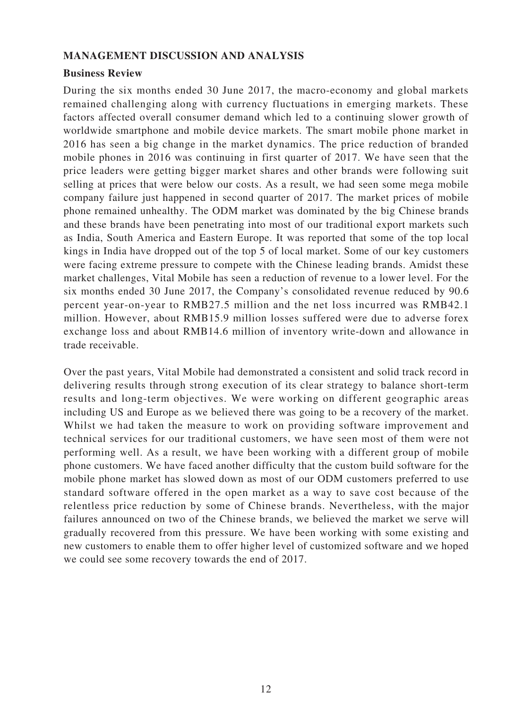### **MANAGEMENT DISCUSSION AND ANALYSIS**

### **Business Review**

During the six months ended 30 June 2017, the macro-economy and global markets remained challenging along with currency fluctuations in emerging markets. These factors affected overall consumer demand which led to a continuing slower growth of worldwide smartphone and mobile device markets. The smart mobile phone market in 2016 has seen a big change in the market dynamics. The price reduction of branded mobile phones in 2016 was continuing in first quarter of 2017. We have seen that the price leaders were getting bigger market shares and other brands were following suit selling at prices that were below our costs. As a result, we had seen some mega mobile company failure just happened in second quarter of 2017. The market prices of mobile phone remained unhealthy. The ODM market was dominated by the big Chinese brands and these brands have been penetrating into most of our traditional export markets such as India, South America and Eastern Europe. It was reported that some of the top local kings in India have dropped out of the top 5 of local market. Some of our key customers were facing extreme pressure to compete with the Chinese leading brands. Amidst these market challenges, Vital Mobile has seen a reduction of revenue to a lower level. For the six months ended 30 June 2017, the Company's consolidated revenue reduced by 90.6 percent year-on-year to RMB27.5 million and the net loss incurred was RMB42.1 million. However, about RMB15.9 million losses suffered were due to adverse forex exchange loss and about RMB14.6 million of inventory write-down and allowance in trade receivable.

Over the past years, Vital Mobile had demonstrated a consistent and solid track record in delivering results through strong execution of its clear strategy to balance short-term results and long-term objectives. We were working on different geographic areas including US and Europe as we believed there was going to be a recovery of the market. Whilst we had taken the measure to work on providing software improvement and technical services for our traditional customers, we have seen most of them were not performing well. As a result, we have been working with a different group of mobile phone customers. We have faced another difficulty that the custom build software for the mobile phone market has slowed down as most of our ODM customers preferred to use standard software offered in the open market as a way to save cost because of the relentless price reduction by some of Chinese brands. Nevertheless, with the major failures announced on two of the Chinese brands, we believed the market we serve will gradually recovered from this pressure. We have been working with some existing and new customers to enable them to offer higher level of customized software and we hoped we could see some recovery towards the end of 2017.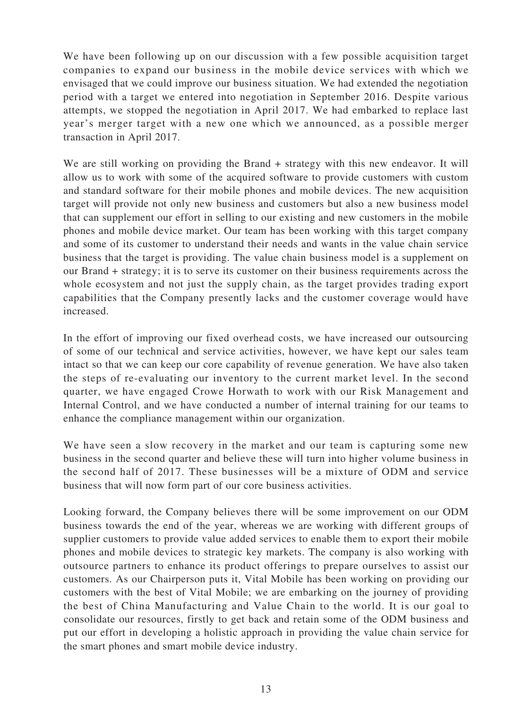We have been following up on our discussion with a few possible acquisition target companies to expand our business in the mobile device services with which we envisaged that we could improve our business situation. We had extended the negotiation period with a target we entered into negotiation in September 2016. Despite various attempts, we stopped the negotiation in April 2017. We had embarked to replace last year's merger target with a new one which we announced, as a possible merger transaction in April 2017.

We are still working on providing the Brand + strategy with this new endeavor. It will allow us to work with some of the acquired software to provide customers with custom and standard software for their mobile phones and mobile devices. The new acquisition target will provide not only new business and customers but also a new business model that can supplement our effort in selling to our existing and new customers in the mobile phones and mobile device market. Our team has been working with this target company and some of its customer to understand their needs and wants in the value chain service business that the target is providing. The value chain business model is a supplement on our Brand + strategy; it is to serve its customer on their business requirements across the whole ecosystem and not just the supply chain, as the target provides trading export capabilities that the Company presently lacks and the customer coverage would have increased.

In the effort of improving our fixed overhead costs, we have increased our outsourcing of some of our technical and service activities, however, we have kept our sales team intact so that we can keep our core capability of revenue generation. We have also taken the steps of re-evaluating our inventory to the current market level. In the second quarter, we have engaged Crowe Horwath to work with our Risk Management and Internal Control, and we have conducted a number of internal training for our teams to enhance the compliance management within our organization.

We have seen a slow recovery in the market and our team is capturing some new business in the second quarter and believe these will turn into higher volume business in the second half of 2017. These businesses will be a mixture of ODM and service business that will now form part of our core business activities.

Looking forward, the Company believes there will be some improvement on our ODM business towards the end of the year, whereas we are working with different groups of supplier customers to provide value added services to enable them to export their mobile phones and mobile devices to strategic key markets. The company is also working with outsource partners to enhance its product offerings to prepare ourselves to assist our customers. As our Chairperson puts it, Vital Mobile has been working on providing our customers with the best of Vital Mobile; we are embarking on the journey of providing the best of China Manufacturing and Value Chain to the world. It is our goal to consolidate our resources, firstly to get back and retain some of the ODM business and put our effort in developing a holistic approach in providing the value chain service for the smart phones and smart mobile device industry.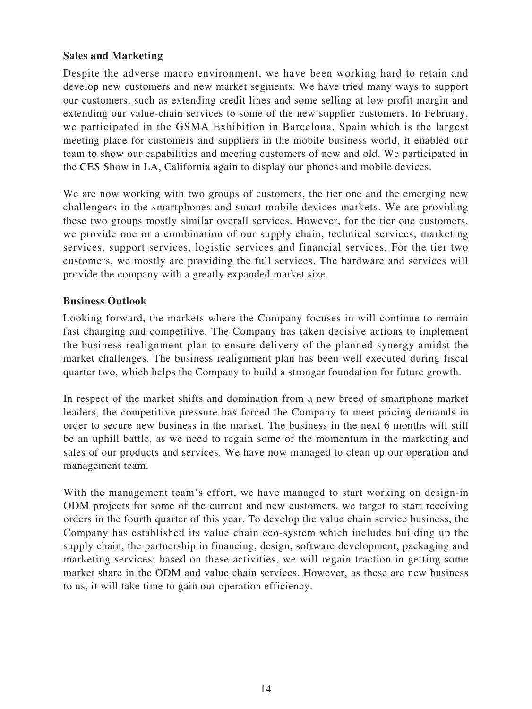### **Sales and Marketing**

Despite the adverse macro environment, we have been working hard to retain and develop new customers and new market segments. We have tried many ways to support our customers, such as extending credit lines and some selling at low profit margin and extending our value-chain services to some of the new supplier customers. In February, we participated in the GSMA Exhibition in Barcelona, Spain which is the largest meeting place for customers and suppliers in the mobile business world, it enabled our team to show our capabilities and meeting customers of new and old. We participated in the CES Show in LA, California again to display our phones and mobile devices.

We are now working with two groups of customers, the tier one and the emerging new challengers in the smartphones and smart mobile devices markets. We are providing these two groups mostly similar overall services. However, for the tier one customers, we provide one or a combination of our supply chain, technical services, marketing services, support services, logistic services and financial services. For the tier two customers, we mostly are providing the full services. The hardware and services will provide the company with a greatly expanded market size.

### **Business Outlook**

Looking forward, the markets where the Company focuses in will continue to remain fast changing and competitive. The Company has taken decisive actions to implement the business realignment plan to ensure delivery of the planned synergy amidst the market challenges. The business realignment plan has been well executed during fiscal quarter two, which helps the Company to build a stronger foundation for future growth.

In respect of the market shifts and domination from a new breed of smartphone market leaders, the competitive pressure has forced the Company to meet pricing demands in order to secure new business in the market. The business in the next 6 months will still be an uphill battle, as we need to regain some of the momentum in the marketing and sales of our products and services. We have now managed to clean up our operation and management team.

With the management team's effort, we have managed to start working on design-in ODM projects for some of the current and new customers, we target to start receiving orders in the fourth quarter of this year. To develop the value chain service business, the Company has established its value chain eco-system which includes building up the supply chain, the partnership in financing, design, software development, packaging and marketing services; based on these activities, we will regain traction in getting some market share in the ODM and value chain services. However, as these are new business to us, it will take time to gain our operation efficiency.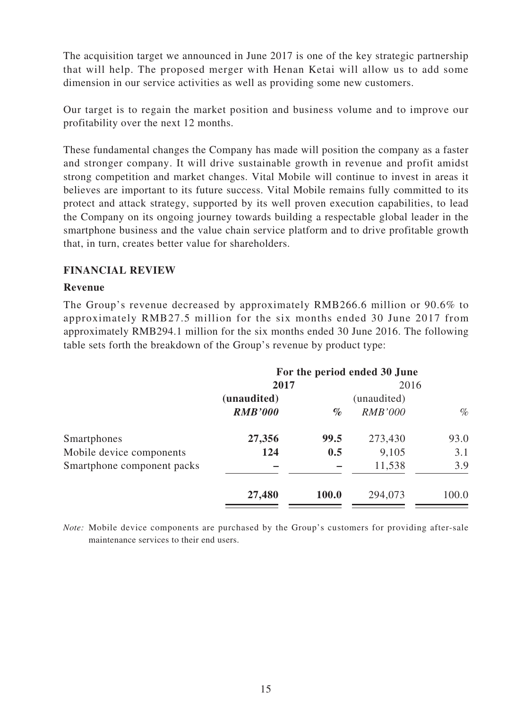The acquisition target we announced in June 2017 is one of the key strategic partnership that will help. The proposed merger with Henan Ketai will allow us to add some dimension in our service activities as well as providing some new customers.

Our target is to regain the market position and business volume and to improve our profitability over the next 12 months.

These fundamental changes the Company has made will position the company as a faster and stronger company. It will drive sustainable growth in revenue and profit amidst strong competition and market changes. Vital Mobile will continue to invest in areas it believes are important to its future success. Vital Mobile remains fully committed to its protect and attack strategy, supported by its well proven execution capabilities, to lead the Company on its ongoing journey towards building a respectable global leader in the smartphone business and the value chain service platform and to drive profitable growth that, in turn, creates better value for shareholders.

### **FINANCIAL REVIEW**

### **Revenue**

The Group's revenue decreased by approximately RMB266.6 million or 90.6% to approximately RMB27.5 million for the six months ended 30 June 2017 from approximately RMB294.1 million for the six months ended 30 June 2016. The following table sets forth the breakdown of the Group's revenue by product type:

|                            | For the period ended 30 June |       |                     |       |
|----------------------------|------------------------------|-------|---------------------|-------|
|                            | 2017                         |       | 2016<br>(unaudited) |       |
|                            | (unaudited)                  |       |                     |       |
|                            | <b>RMB'000</b>               | $\%$  | <b>RMB'000</b>      | $\%$  |
| Smartphones                | 27,356                       | 99.5  | 273,430             | 93.0  |
| Mobile device components   | 124                          | 0.5   | 9,105               | 3.1   |
| Smartphone component packs |                              |       | 11,538              | 3.9   |
|                            | 27,480                       | 100.0 | 294,073             | 100.0 |

*Note:* Mobile device components are purchased by the Group's customers for providing after-sale maintenance services to their end users.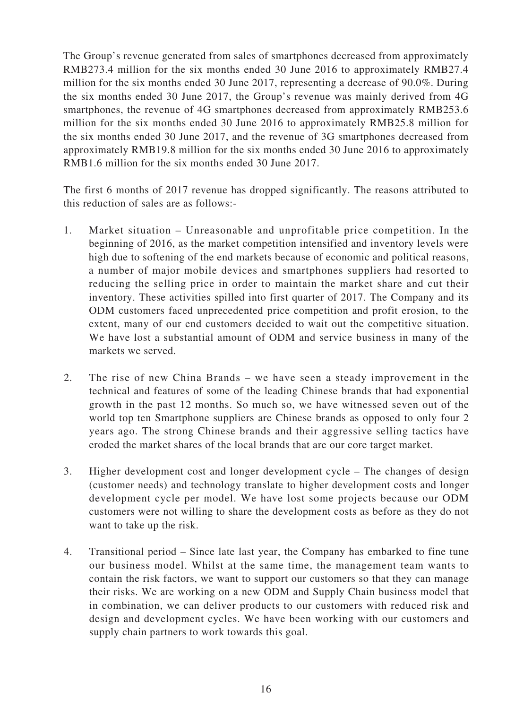The Group's revenue generated from sales of smartphones decreased from approximately RMB273.4 million for the six months ended 30 June 2016 to approximately RMB27.4 million for the six months ended 30 June 2017, representing a decrease of 90.0%. During the six months ended 30 June 2017, the Group's revenue was mainly derived from 4G smartphones, the revenue of 4G smartphones decreased from approximately RMB253.6 million for the six months ended 30 June 2016 to approximately RMB25.8 million for the six months ended 30 June 2017, and the revenue of 3G smartphones decreased from approximately RMB19.8 million for the six months ended 30 June 2016 to approximately RMB1.6 million for the six months ended 30 June 2017.

The first 6 months of 2017 revenue has dropped significantly. The reasons attributed to this reduction of sales are as follows:-

- 1. Market situation Unreasonable and unprofitable price competition. In the beginning of 2016, as the market competition intensified and inventory levels were high due to softening of the end markets because of economic and political reasons, a number of major mobile devices and smartphones suppliers had resorted to reducing the selling price in order to maintain the market share and cut their inventory. These activities spilled into first quarter of 2017. The Company and its ODM customers faced unprecedented price competition and profit erosion, to the extent, many of our end customers decided to wait out the competitive situation. We have lost a substantial amount of ODM and service business in many of the markets we served.
- 2. The rise of new China Brands we have seen a steady improvement in the technical and features of some of the leading Chinese brands that had exponential growth in the past 12 months. So much so, we have witnessed seven out of the world top ten Smartphone suppliers are Chinese brands as opposed to only four 2 years ago. The strong Chinese brands and their aggressive selling tactics have eroded the market shares of the local brands that are our core target market.
- 3. Higher development cost and longer development cycle The changes of design (customer needs) and technology translate to higher development costs and longer development cycle per model. We have lost some projects because our ODM customers were not willing to share the development costs as before as they do not want to take up the risk.
- 4. Transitional period Since late last year, the Company has embarked to fine tune our business model. Whilst at the same time, the management team wants to contain the risk factors, we want to support our customers so that they can manage their risks. We are working on a new ODM and Supply Chain business model that in combination, we can deliver products to our customers with reduced risk and design and development cycles. We have been working with our customers and supply chain partners to work towards this goal.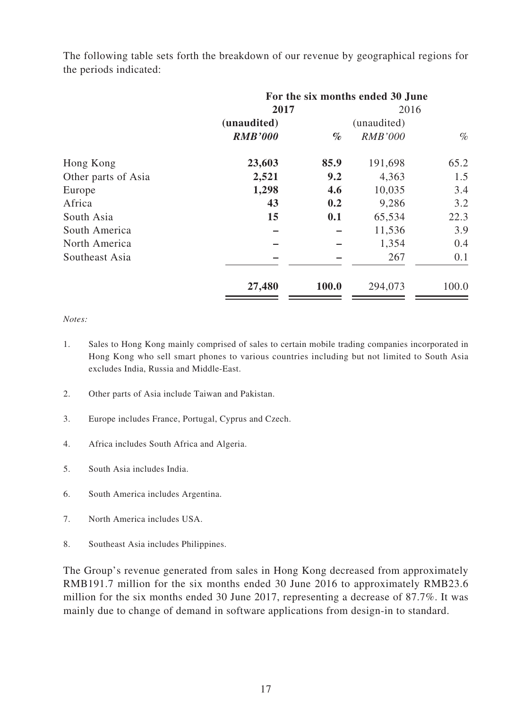|                     | For the six months ended 30 June |       |                |       |
|---------------------|----------------------------------|-------|----------------|-------|
|                     | 2017                             |       | 2016           |       |
|                     | (unaudited)                      |       | (unaudited)    |       |
|                     | <b>RMB'000</b>                   | $\%$  | <b>RMB'000</b> | $\%$  |
| Hong Kong           | 23,603                           | 85.9  | 191,698        | 65.2  |
| Other parts of Asia | 2,521                            | 9.2   | 4,363          | 1.5   |
| Europe              | 1,298                            | 4.6   | 10,035         | 3.4   |
| Africa              | 43                               | 0.2   | 9,286          | 3.2   |
| South Asia          | 15                               | 0.1   | 65,534         | 22.3  |
| South America       |                                  |       | 11,536         | 3.9   |
| North America       |                                  |       | 1,354          | 0.4   |
| Southeast Asia      |                                  |       | 267            | 0.1   |
|                     | 27,480                           | 100.0 | 294,073        | 100.0 |

The following table sets forth the breakdown of our revenue by geographical regions for the periods indicated:

#### *Notes:*

- 1. Sales to Hong Kong mainly comprised of sales to certain mobile trading companies incorporated in Hong Kong who sell smart phones to various countries including but not limited to South Asia excludes India, Russia and Middle-East.
- 2. Other parts of Asia include Taiwan and Pakistan.
- 3. Europe includes France, Portugal, Cyprus and Czech.
- 4. Africa includes South Africa and Algeria.
- 5. South Asia includes India.
- 6. South America includes Argentina.
- 7. North America includes USA.
- 8. Southeast Asia includes Philippines.

The Group's revenue generated from sales in Hong Kong decreased from approximately RMB191.7 million for the six months ended 30 June 2016 to approximately RMB23.6 million for the six months ended 30 June 2017, representing a decrease of 87.7%. It was mainly due to change of demand in software applications from design-in to standard.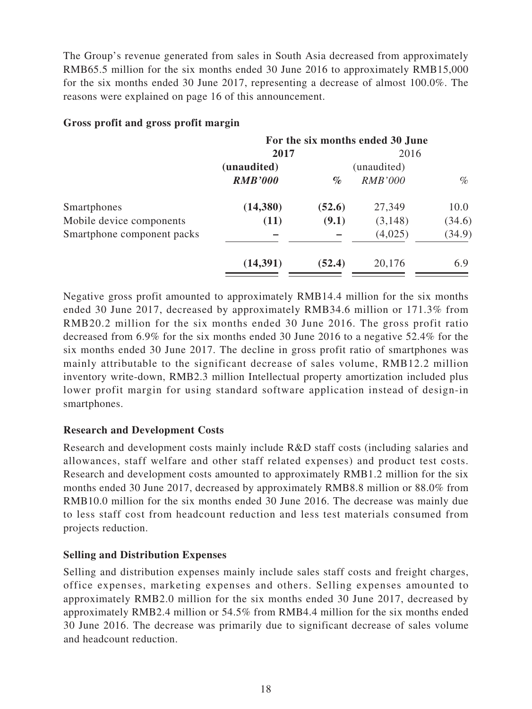The Group's revenue generated from sales in South Asia decreased from approximately RMB65.5 million for the six months ended 30 June 2016 to approximately RMB15,000 for the six months ended 30 June 2017, representing a decrease of almost 100.0%. The reasons were explained on page 16 of this announcement.

|                            | For the six months ended 30 June |        |                |        |
|----------------------------|----------------------------------|--------|----------------|--------|
|                            | 2017                             |        | 2016           |        |
|                            | (unaudited)                      |        | (unaudited)    |        |
|                            | <b>RMB'000</b>                   | $\%$   | <b>RMB'000</b> | $\%$   |
| Smartphones                | (14,380)                         | (52.6) | 27,349         | 10.0   |
| Mobile device components   | (11)                             | (9.1)  | (3,148)        | (34.6) |
| Smartphone component packs |                                  |        | (4,025)        | (34.9) |
|                            | (14, 391)                        | (52.4) | 20,176         | 6.9    |

### **Gross profit and gross profit margin**

Negative gross profit amounted to approximately RMB14.4 million for the six months ended 30 June 2017, decreased by approximately RMB34.6 million or 171.3% from RMB20.2 million for the six months ended 30 June 2016. The gross profit ratio decreased from 6.9% for the six months ended 30 June 2016 to a negative 52.4% for the six months ended 30 June 2017. The decline in gross profit ratio of smartphones was mainly attributable to the significant decrease of sales volume, RMB12.2 million inventory write-down, RMB2.3 million Intellectual property amortization included plus lower profit margin for using standard software application instead of design-in smartphones.

# **Research and Development Costs**

Research and development costs mainly include R&D staff costs (including salaries and allowances, staff welfare and other staff related expenses) and product test costs. Research and development costs amounted to approximately RMB1.2 million for the six months ended 30 June 2017, decreased by approximately RMB8.8 million or 88.0% from RMB10.0 million for the six months ended 30 June 2016. The decrease was mainly due to less staff cost from headcount reduction and less test materials consumed from projects reduction.

# **Selling and Distribution Expenses**

Selling and distribution expenses mainly include sales staff costs and freight charges, office expenses, marketing expenses and others. Selling expenses amounted to approximately RMB2.0 million for the six months ended 30 June 2017, decreased by approximately RMB2.4 million or 54.5% from RMB4.4 million for the six months ended 30 June 2016. The decrease was primarily due to significant decrease of sales volume and headcount reduction.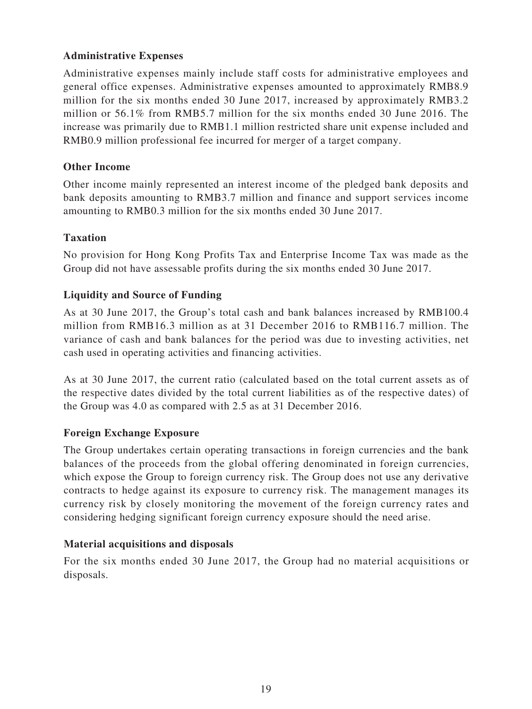# **Administrative Expenses**

Administrative expenses mainly include staff costs for administrative employees and general office expenses. Administrative expenses amounted to approximately RMB8.9 million for the six months ended 30 June 2017, increased by approximately RMB3.2 million or 56.1% from RMB5.7 million for the six months ended 30 June 2016. The increase was primarily due to RMB1.1 million restricted share unit expense included and RMB0.9 million professional fee incurred for merger of a target company.

# **Other Income**

Other income mainly represented an interest income of the pledged bank deposits and bank deposits amounting to RMB3.7 million and finance and support services income amounting to RMB0.3 million for the six months ended 30 June 2017.

# **Taxation**

No provision for Hong Kong Profits Tax and Enterprise Income Tax was made as the Group did not have assessable profits during the six months ended 30 June 2017.

# **Liquidity and Source of Funding**

As at 30 June 2017, the Group's total cash and bank balances increased by RMB100.4 million from RMB16.3 million as at 31 December 2016 to RMB116.7 million. The variance of cash and bank balances for the period was due to investing activities, net cash used in operating activities and financing activities.

As at 30 June 2017, the current ratio (calculated based on the total current assets as of the respective dates divided by the total current liabilities as of the respective dates) of the Group was 4.0 as compared with 2.5 as at 31 December 2016.

# **Foreign Exchange Exposure**

The Group undertakes certain operating transactions in foreign currencies and the bank balances of the proceeds from the global offering denominated in foreign currencies, which expose the Group to foreign currency risk. The Group does not use any derivative contracts to hedge against its exposure to currency risk. The management manages its currency risk by closely monitoring the movement of the foreign currency rates and considering hedging significant foreign currency exposure should the need arise.

# **Material acquisitions and disposals**

For the six months ended 30 June 2017, the Group had no material acquisitions or disposals.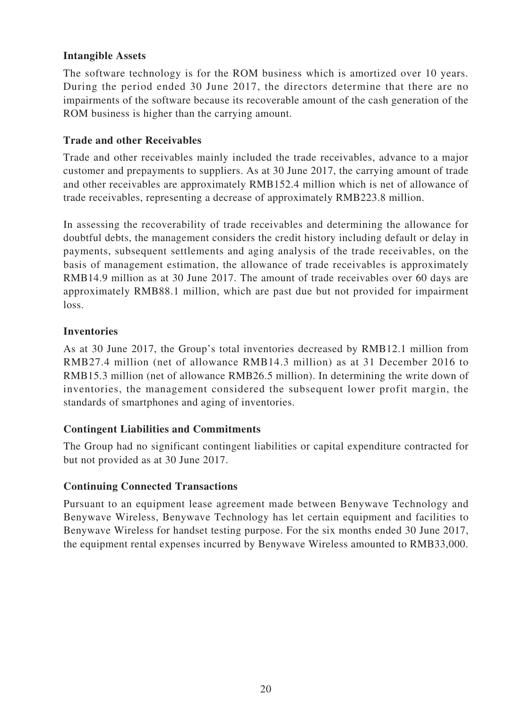### **Intangible Assets**

The software technology is for the ROM business which is amortized over 10 years. During the period ended 30 June 2017, the directors determine that there are no impairments of the software because its recoverable amount of the cash generation of the ROM business is higher than the carrying amount.

### **Trade and other Receivables**

Trade and other receivables mainly included the trade receivables, advance to a major customer and prepayments to suppliers. As at 30 June 2017, the carrying amount of trade and other receivables are approximately RMB152.4 million which is net of allowance of trade receivables, representing a decrease of approximately RMB223.8 million.

In assessing the recoverability of trade receivables and determining the allowance for doubtful debts, the management considers the credit history including default or delay in payments, subsequent settlements and aging analysis of the trade receivables, on the basis of management estimation, the allowance of trade receivables is approximately RMB14.9 million as at 30 June 2017. The amount of trade receivables over 60 days are approximately RMB88.1 million, which are past due but not provided for impairment loss.

# **Inventories**

As at 30 June 2017, the Group's total inventories decreased by RMB12.1 million from RMB27.4 million (net of allowance RMB14.3 million) as at 31 December 2016 to RMB15.3 million (net of allowance RMB26.5 million). In determining the write down of inventories, the management considered the subsequent lower profit margin, the standards of smartphones and aging of inventories.

### **Contingent Liabilities and Commitments**

The Group had no significant contingent liabilities or capital expenditure contracted for but not provided as at 30 June 2017.

### **Continuing Connected Transactions**

Pursuant to an equipment lease agreement made between Benywave Technology and Benywave Wireless, Benywave Technology has let certain equipment and facilities to Benywave Wireless for handset testing purpose. For the six months ended 30 June 2017, the equipment rental expenses incurred by Benywave Wireless amounted to RMB33,000.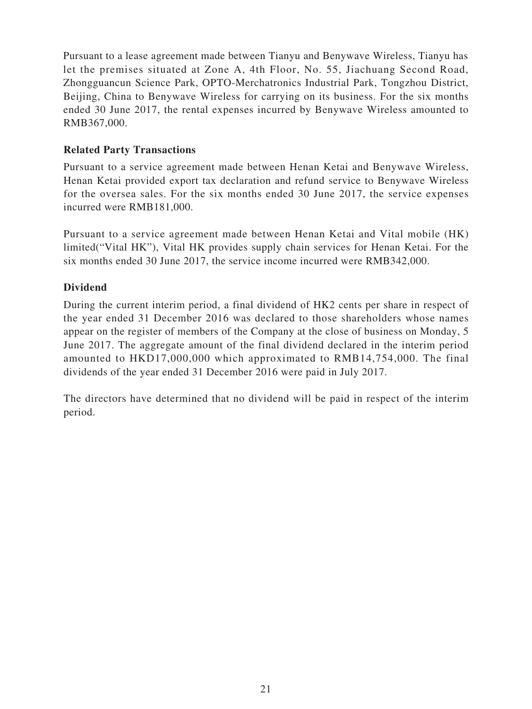Pursuant to a lease agreement made between Tianyu and Benywave Wireless, Tianyu has let the premises situated at Zone A, 4th Floor, No. 55, Jiachuang Second Road, Zhongguancun Science Park, OPTO-Merchatronics Industrial Park, Tongzhou District, Beijing, China to Benywave Wireless for carrying on its business. For the six months ended 30 June 2017, the rental expenses incurred by Benywave Wireless amounted to RMB367,000.

### **Related Party Transactions**

Pursuant to a service agreement made between Henan Ketai and Benywave Wireless, Henan Ketai provided export tax declaration and refund service to Benywave Wireless for the oversea sales. For the six months ended 30 June 2017, the service expenses incurred were RMB181,000.

Pursuant to a service agreement made between Henan Ketai and Vital mobile (HK) limited("Vital HK"), Vital HK provides supply chain services for Henan Ketai. For the six months ended 30 June 2017, the service income incurred were RMB342,000.

# **Dividend**

During the current interim period, a final dividend of HK2 cents per share in respect of the year ended 31 December 2016 was declared to those shareholders whose names appear on the register of members of the Company at the close of business on Monday, 5 June 2017. The aggregate amount of the final dividend declared in the interim period amounted to HKD17,000,000 which approximated to RMB14,754,000. The final dividends of the year ended 31 December 2016 were paid in July 2017.

The directors have determined that no dividend will be paid in respect of the interim period.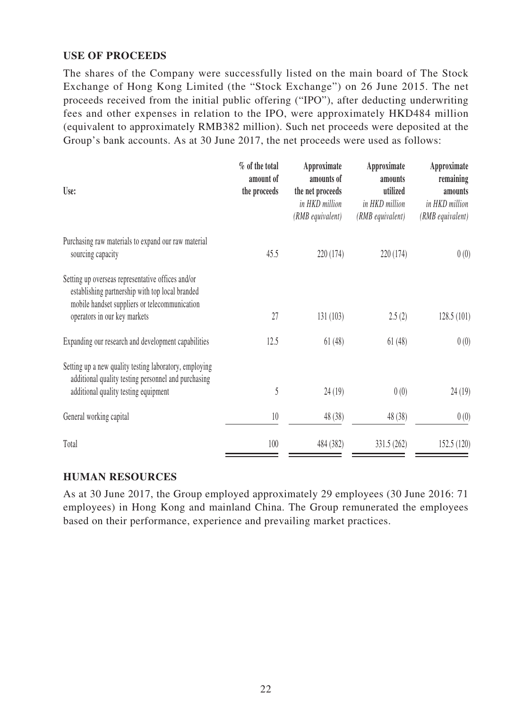# **USE OF PROCEEDS**

The shares of the Company were successfully listed on the main board of The Stock Exchange of Hong Kong Limited (the "Stock Exchange") on 26 June 2015. The net proceeds received from the initial public offering ("IPO"), after deducting underwriting fees and other expenses in relation to the IPO, were approximately HKD484 million (equivalent to approximately RMB382 million). Such net proceeds were deposited at the Group's bank accounts. As at 30 June 2017, the net proceeds were used as follows:

| Use:                                                                                                                                                                                  | % of the total<br>amount of<br>the proceeds | Approximate<br>amounts of<br>the net proceeds<br>in HKD million<br>(RMB equivalent) | Approximate<br>amounts<br>utilized<br>in HKD million<br>(RMB equivalent) | Approximate<br>remaining<br>amounts<br>in HKD million<br>(RMB equivalent) |
|---------------------------------------------------------------------------------------------------------------------------------------------------------------------------------------|---------------------------------------------|-------------------------------------------------------------------------------------|--------------------------------------------------------------------------|---------------------------------------------------------------------------|
| Purchasing raw materials to expand our raw material<br>sourcing capacity                                                                                                              | 45.5                                        | 220 (174)                                                                           | 220 (174)                                                                | 0(0)                                                                      |
| Setting up overseas representative offices and/or<br>establishing partnership with top local branded<br>mobile handset suppliers or telecommunication<br>operators in our key markets | 27                                          | 131(103)                                                                            | 2.5(2)                                                                   | 128.5(101)                                                                |
| Expanding our research and development capabilities                                                                                                                                   | 12.5                                        | 61(48)                                                                              | 61(48)                                                                   | 0(0)                                                                      |
| Setting up a new quality testing laboratory, employing<br>additional quality testing personnel and purchasing<br>additional quality testing equipment                                 | 5                                           | 24(19)                                                                              | 0(0)                                                                     | 24(19)                                                                    |
| General working capital                                                                                                                                                               | $10\,$                                      | 48 (38)                                                                             | 48 (38)                                                                  | 0(0)                                                                      |
| Total                                                                                                                                                                                 | 100                                         | 484 (382)                                                                           | 331.5 (262)                                                              | 152.5 (120)                                                               |

### **HUMAN RESOURCES**

As at 30 June 2017, the Group employed approximately 29 employees (30 June 2016: 71 employees) in Hong Kong and mainland China. The Group remunerated the employees based on their performance, experience and prevailing market practices.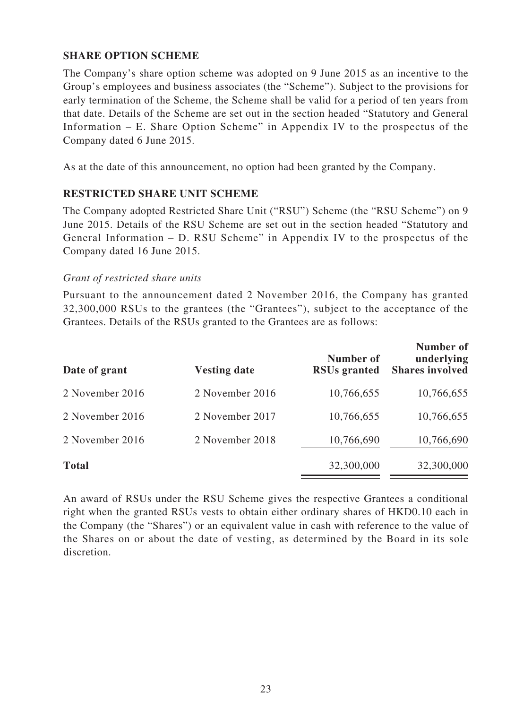### **SHARE OPTION SCHEME**

The Company's share option scheme was adopted on 9 June 2015 as an incentive to the Group's employees and business associates (the "Scheme"). Subject to the provisions for early termination of the Scheme, the Scheme shall be valid for a period of ten years from that date. Details of the Scheme are set out in the section headed "Statutory and General Information – E. Share Option Scheme" in Appendix IV to the prospectus of the Company dated 6 June 2015.

As at the date of this announcement, no option had been granted by the Company.

### **RESTRICTED SHARE UNIT SCHEME**

The Company adopted Restricted Share Unit ("RSU") Scheme (the "RSU Scheme") on 9 June 2015. Details of the RSU Scheme are set out in the section headed "Statutory and General Information – D. RSU Scheme" in Appendix IV to the prospectus of the Company dated 16 June 2015.

### *Grant of restricted share units*

Pursuant to the announcement dated 2 November 2016, the Company has granted 32,300,000 RSUs to the grantees (the "Grantees"), subject to the acceptance of the Grantees. Details of the RSUs granted to the Grantees are as follows:

| Date of grant   | <b>Vesting date</b> | Number of<br><b>RSUs granted</b> | Number of<br>underlying<br><b>Shares involved</b> |
|-----------------|---------------------|----------------------------------|---------------------------------------------------|
| 2 November 2016 | 2 November 2016     | 10,766,655                       | 10,766,655                                        |
| 2 November 2016 | 2 November 2017     | 10,766,655                       | 10,766,655                                        |
| 2 November 2016 | 2 November 2018     | 10,766,690                       | 10,766,690                                        |
| <b>Total</b>    |                     | 32,300,000                       | 32,300,000                                        |

An award of RSUs under the RSU Scheme gives the respective Grantees a conditional right when the granted RSUs vests to obtain either ordinary shares of HKD0.10 each in the Company (the "Shares") or an equivalent value in cash with reference to the value of the Shares on or about the date of vesting, as determined by the Board in its sole discretion.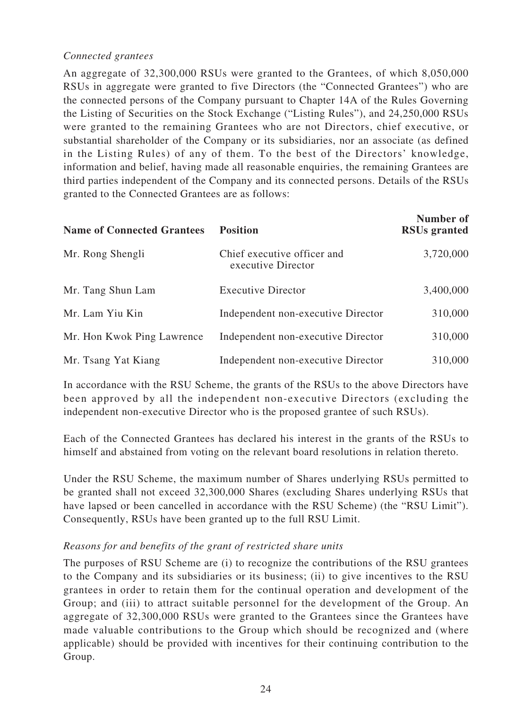# *Connected grantees*

An aggregate of 32,300,000 RSUs were granted to the Grantees, of which 8,050,000 RSUs in aggregate were granted to five Directors (the "Connected Grantees") who are the connected persons of the Company pursuant to Chapter 14A of the Rules Governing the Listing of Securities on the Stock Exchange ("Listing Rules"), and 24,250,000 RSUs were granted to the remaining Grantees who are not Directors, chief executive, or substantial shareholder of the Company or its subsidiaries, nor an associate (as defined in the Listing Rules) of any of them. To the best of the Directors' knowledge, information and belief, having made all reasonable enquiries, the remaining Grantees are third parties independent of the Company and its connected persons. Details of the RSUs granted to the Connected Grantees are as follows:

| <b>Name of Connected Grantees</b> | <b>Position</b>                                   | Number of<br><b>RSUs granted</b> |
|-----------------------------------|---------------------------------------------------|----------------------------------|
| Mr. Rong Shengli                  | Chief executive officer and<br>executive Director | 3,720,000                        |
| Mr. Tang Shun Lam                 | <b>Executive Director</b>                         | 3,400,000                        |
| Mr. Lam Yiu Kin                   | Independent non-executive Director                | 310,000                          |
| Mr. Hon Kwok Ping Lawrence        | Independent non-executive Director                | 310,000                          |
| Mr. Tsang Yat Kiang               | Independent non-executive Director                | 310,000                          |

In accordance with the RSU Scheme, the grants of the RSUs to the above Directors have been approved by all the independent non-executive Directors (excluding the independent non-executive Director who is the proposed grantee of such RSUs).

Each of the Connected Grantees has declared his interest in the grants of the RSUs to himself and abstained from voting on the relevant board resolutions in relation thereto.

Under the RSU Scheme, the maximum number of Shares underlying RSUs permitted to be granted shall not exceed 32,300,000 Shares (excluding Shares underlying RSUs that have lapsed or been cancelled in accordance with the RSU Scheme) (the "RSU Limit"). Consequently, RSUs have been granted up to the full RSU Limit.

### *Reasons for and benefits of the grant of restricted share units*

The purposes of RSU Scheme are (i) to recognize the contributions of the RSU grantees to the Company and its subsidiaries or its business; (ii) to give incentives to the RSU grantees in order to retain them for the continual operation and development of the Group; and (iii) to attract suitable personnel for the development of the Group. An aggregate of 32,300,000 RSUs were granted to the Grantees since the Grantees have made valuable contributions to the Group which should be recognized and (where applicable) should be provided with incentives for their continuing contribution to the Group.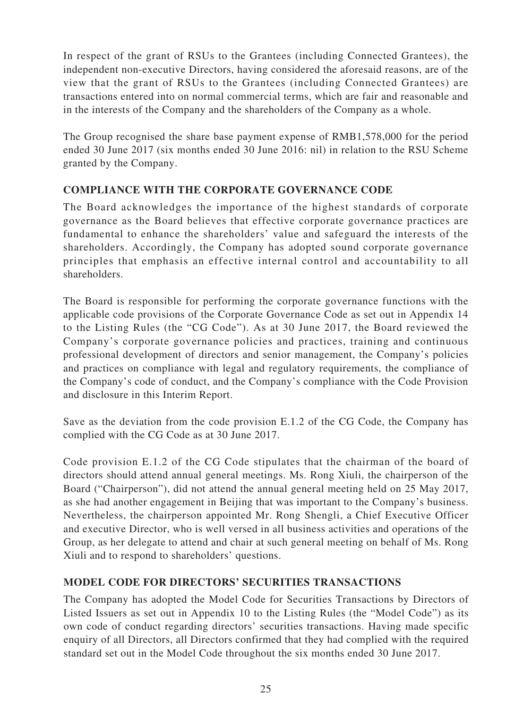In respect of the grant of RSUs to the Grantees (including Connected Grantees), the independent non-executive Directors, having considered the aforesaid reasons, are of the view that the grant of RSUs to the Grantees (including Connected Grantees) are transactions entered into on normal commercial terms, which are fair and reasonable and in the interests of the Company and the shareholders of the Company as a whole.

The Group recognised the share base payment expense of RMB1,578,000 for the period ended 30 June 2017 (six months ended 30 June 2016: nil) in relation to the RSU Scheme granted by the Company.

# **COMPLIANCE WITH THE CORPORATE GOVERNANCE CODE**

The Board acknowledges the importance of the highest standards of corporate governance as the Board believes that effective corporate governance practices are fundamental to enhance the shareholders' value and safeguard the interests of the shareholders. Accordingly, the Company has adopted sound corporate governance principles that emphasis an effective internal control and accountability to all shareholders.

The Board is responsible for performing the corporate governance functions with the applicable code provisions of the Corporate Governance Code as set out in Appendix 14 to the Listing Rules (the "CG Code"). As at 30 June 2017, the Board reviewed the Company's corporate governance policies and practices, training and continuous professional development of directors and senior management, the Company's policies and practices on compliance with legal and regulatory requirements, the compliance of the Company's code of conduct, and the Company's compliance with the Code Provision and disclosure in this Interim Report.

Save as the deviation from the code provision E.1.2 of the CG Code, the Company has complied with the CG Code as at 30 June 2017.

Code provision E.1.2 of the CG Code stipulates that the chairman of the board of directors should attend annual general meetings. Ms. Rong Xiuli, the chairperson of the Board ("Chairperson"), did not attend the annual general meeting held on 25 May 2017, as she had another engagement in Beijing that was important to the Company's business. Nevertheless, the chairperson appointed Mr. Rong Shengli, a Chief Executive Officer and executive Director, who is well versed in all business activities and operations of the Group, as her delegate to attend and chair at such general meeting on behalf of Ms. Rong Xiuli and to respond to shareholders' questions.

# **MODEL CODE FOR DIRECTORS' SECURITIES TRANSACTIONS**

The Company has adopted the Model Code for Securities Transactions by Directors of Listed Issuers as set out in Appendix 10 to the Listing Rules (the "Model Code") as its own code of conduct regarding directors' securities transactions. Having made specific enquiry of all Directors, all Directors confirmed that they had complied with the required standard set out in the Model Code throughout the six months ended 30 June 2017.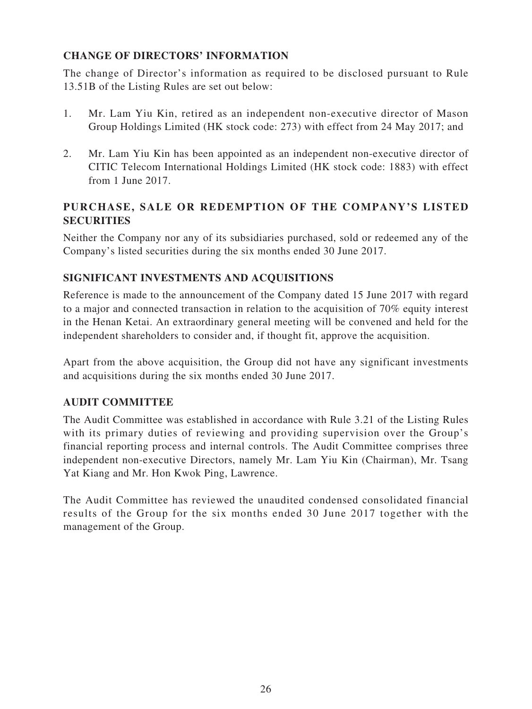# **CHANGE OF DIRECTORS' INFORMATION**

The change of Director's information as required to be disclosed pursuant to Rule 13.51B of the Listing Rules are set out below:

- 1. Mr. Lam Yiu Kin, retired as an independent non-executive director of Mason Group Holdings Limited (HK stock code: 273) with effect from 24 May 2017; and
- 2. Mr. Lam Yiu Kin has been appointed as an independent non-executive director of CITIC Telecom International Holdings Limited (HK stock code: 1883) with effect from 1 June 2017.

# **PURCHASE, SALE OR REDEMPTION OF THE COMPANY'S LISTED SECURITIES**

Neither the Company nor any of its subsidiaries purchased, sold or redeemed any of the Company's listed securities during the six months ended 30 June 2017.

# **SIGNIFICANT INVESTMENTS AND ACQUISITIONS**

Reference is made to the announcement of the Company dated 15 June 2017 with regard to a major and connected transaction in relation to the acquisition of 70% equity interest in the Henan Ketai. An extraordinary general meeting will be convened and held for the independent shareholders to consider and, if thought fit, approve the acquisition.

Apart from the above acquisition, the Group did not have any significant investments and acquisitions during the six months ended 30 June 2017.

# **AUDIT COMMITTEE**

The Audit Committee was established in accordance with Rule 3.21 of the Listing Rules with its primary duties of reviewing and providing supervision over the Group's financial reporting process and internal controls. The Audit Committee comprises three independent non-executive Directors, namely Mr. Lam Yiu Kin (Chairman), Mr. Tsang Yat Kiang and Mr. Hon Kwok Ping, Lawrence.

The Audit Committee has reviewed the unaudited condensed consolidated financial results of the Group for the six months ended 30 June 2017 together with the management of the Group.